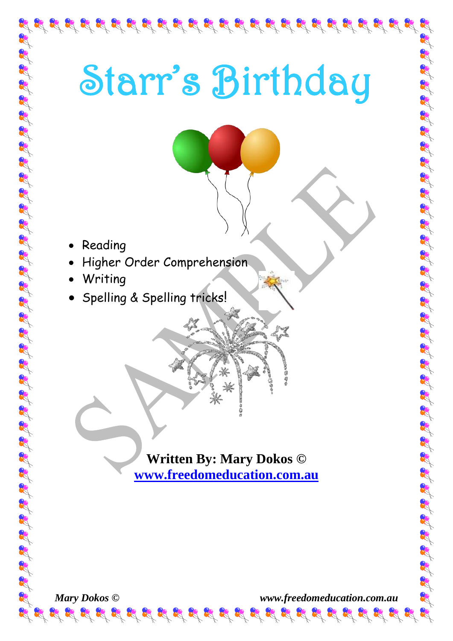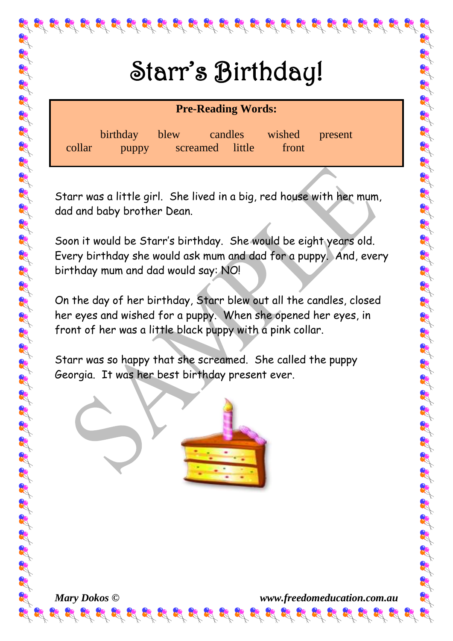$\mathcal{B}_{\mathcal{A}} \mathcal{B}_{\mathcal{A}} \mathcal{B}_{\mathcal{A}} \mathcal{B}_{\mathcal{A}} \mathcal{B}_{\mathcal{A}} \mathcal{B}_{\mathcal{A}} \mathcal{B}_{\mathcal{A}} \mathcal{B}_{\mathcal{A}} \mathcal{B}_{\mathcal{A}} \mathcal{B}_{\mathcal{A}} \mathcal{B}_{\mathcal{A}} \mathcal{B}_{\mathcal{A}} \mathcal{B}_{\mathcal{A}} \mathcal{B}_{\mathcal{A}} \mathcal{B}_{\mathcal{A}} \mathcal{B}_{\mathcal{A}} \mathcal{B}_{\mathcal{A}} \mathcal{B}_{\mathcal{A}} \mathcal{$ 

# Starr's Birthday!

| <b>Pre-Reading Words:</b> |                        |  |                 |         |                         |  |
|---------------------------|------------------------|--|-----------------|---------|-------------------------|--|
| collar                    | birthday blew<br>puppy |  | screamed little | candles | wished present<br>front |  |

Starr was a little girl. She lived in a big, red house with her mum, dad and baby brother Dean.

Soon it would be Starr's birthday. She would be eight years old. Every birthday she would ask mum and dad for a puppy. And, every birthday mum and dad would say: NO!

On the day of her birthday, Starr blew out all the candles, closed her eyes and wished for a puppy. When she opened her eyes, in front of her was a little black puppy with a pink collar.

Starr was so happy that she screamed. She called the puppy Georgia. It was her best birthday present ever.

 $\frac{1}{2} \left( \frac{1}{2} \right) \left( \frac{1}{2} \right) \left( \frac{1}{2} \right) \left( \frac{1}{2} \right) \left( \frac{1}{2} \right) \left( \frac{1}{2} \right) \left( \frac{1}{2} \right) \left( \frac{1}{2} \right) \left( \frac{1}{2} \right) \left( \frac{1}{2} \right) \left( \frac{1}{2} \right) \left( \frac{1}{2} \right) \left( \frac{1}{2} \right) \left( \frac{1}{2} \right) \left( \frac{1}{2} \right) \left( \frac{1}{2} \right) \left( \frac$ 

*Mary Dokos © www.freedomeducation.com.au*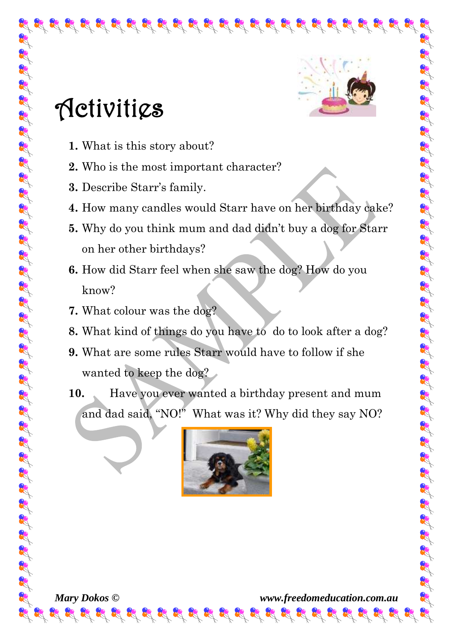

## **Activitics**

- **1.** What is this story about?
- **2.** Who is the most important character?
- **3.** Describe Starr's family.
- **4.** How many candles would Starr have on her birthday cake?

 $\mathbf{g}^2$  of  $\mathbf{g}^2$  of  $\mathbf{g}^2$  of  $\mathbf{g}^2$  of  $\mathbf{g}^2$  of  $\mathbf{g}^2$  of  $\mathbf{g}^2$  of  $\mathbf{g}^2$  of  $\mathbf{g}^2$ 

- **5.** Why do you think mum and dad didn't buy a dog for Starr on her other birthdays?
- **6.** How did Starr feel when she saw the dog? How do you know?
- **7.** What colour was the dog?

改良民民民民

- **8.** What kind of things do you have to do to look after a dog?
- **9.** What are some rules Starr would have to follow if she wanted to keep the dog?
- **10.** Have you ever wanted a birthday present and mum and dad said, "NO!" What was it? Why did they say NO?



*Mary Dokos © www.freedomeducation.com.au*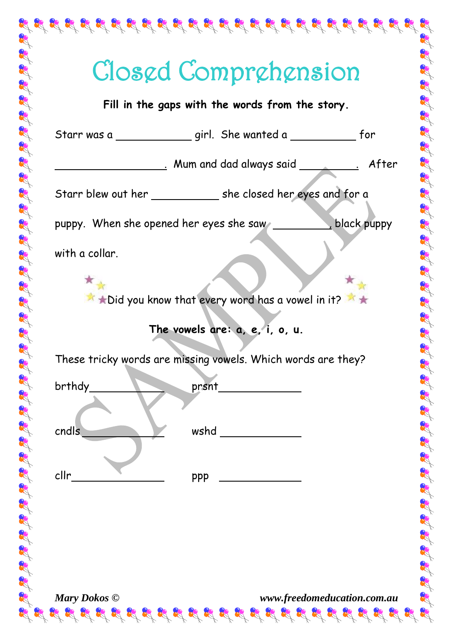|                | Closed Comprehension                                            |       |
|----------------|-----------------------------------------------------------------|-------|
|                | Fill in the gaps with the words from the story.                 |       |
|                |                                                                 |       |
|                | Mum and dad always said __________                              | After |
|                | Starr blew out her ______________ she closed her eyes and for a |       |
|                | puppy. When she opened her eyes she saw buppy.                  |       |
| with a collar. |                                                                 |       |
|                | * * Did you know that every word has a vowel in it?             |       |
|                | The vowels are: $a, e, i, o, u$ .                               |       |
|                | These tricky words are missing vowels. Which words are they?    |       |
| brthdy         | prsnt                                                           |       |
| cndls          | wshd                                                            |       |
| cllr           | ppp                                                             |       |
|                |                                                                 |       |
|                |                                                                 |       |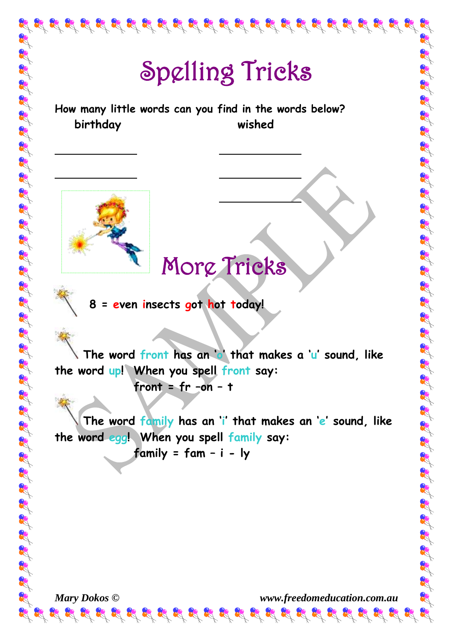

# Spelling Tricks

**How many little words can you find in the words below? birthday wished**



### More Tricks

 **8 = even insects got hot today!**

 **The word front has an 'o' that makes a 'u' sound, like the word up! When you spell front say: front = fr –on – t**

 **The word family has an 'i' that makes an 'e' sound, like the word egg! When you spell family say: family = fam – i - ly**

*Mary Dokos © www.freedomeducation.com.au*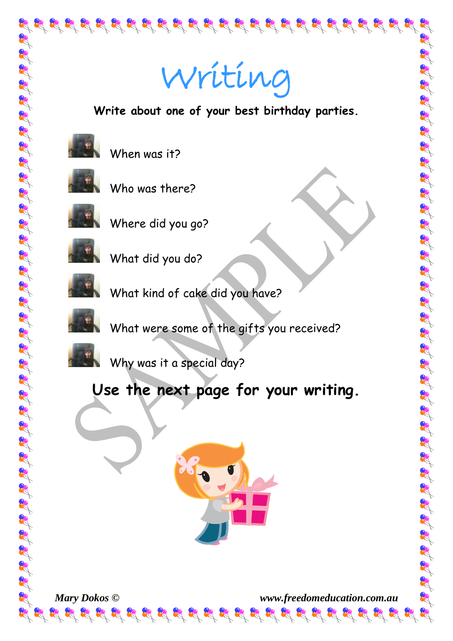

# Writing

**Write about one of your best birthday parties.** 



When was it?



Who was there?



Where did you go?



What did you do?



What kind of cake did you have?



What were some of the gifts you received?



Why was it a special day?

#### **Use the next page for your writing.**





*Mary Dokos © www.freedomeducation.com.au*